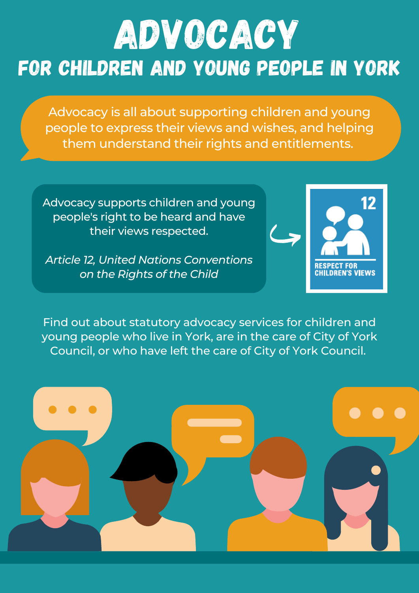# for children and young people in york **ADVOCACY**

Advocacy is all about supporting children and young people to express their views and wishes, and helping them understand their rights and entitlements.

Advocacy supports children and young people's right to be heard and have their views respected.

*Article 12, United Nations Conventions on the Rights of the Child*



Find out about statutory advocacy services for children and young people who live in York, are in the care of City of York Council, or who have left the care of City of York Council.

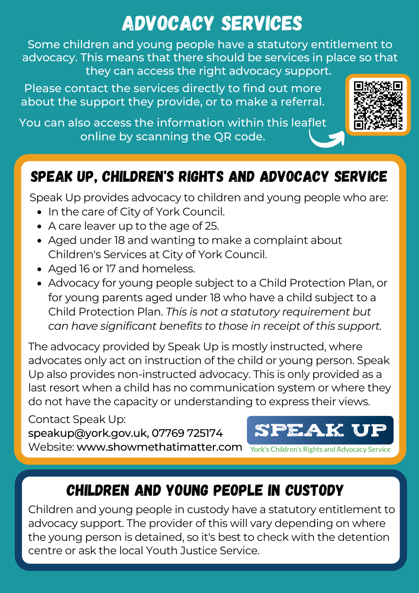## Advocacy services

Some children and young people have a statutory entitlement to advocacy. This means that there should be services in place so that they can access the right advocacy support.

Please contact the services directly to find out more about the support they provide, or to make a referral.

You can also access the information within this leaflet online by scanning the QR code.



#### Speak up, children's rights and advocacy service

Speak Up provides advocacy to children and young people who are:

- In the care of City of York Council.
- A care leaver up to the age of 25.
- Aged under 18 and wanting to make a complaint about Children's Services at City of York Council.
- Aged 16 or 17 and homeless.
- Advocacy for young people subject to a Child Protection Plan, or for young parents aged under 18 who have a child subject to a Child Protection Plan. *This is not a statutory requirement but can have significant benefits to those in receipt of this support.*

The advocacy provided by Speak Up is mostly instructed, where advocates only act on instruction of the child or young person. Speak Up also provides non-instructed advocacy. This is only provided as a last resort when a child has no communication system or where they do not have the capacity or understanding to express their views.

Contact Speak Up: speakup@york.gov.uk, 07769 725174 Website: www.showmethatimatter.com

PEAK U

York's Children's Rights and Advocacy Service

#### CHILDREN AND YOUNG PEOPLE IN CUSTODY

Children and young people in custody have a statutory entitlement to advocacy support. The provider of this will vary depending on where the young person is detained, so it's best to check with the detention centre or ask the local Youth Justice Service.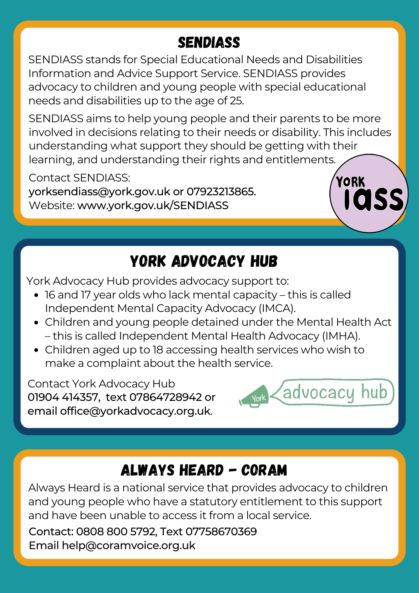#### **SENDIASS**

SENDIASS stands for Special Educational Needs and Disabilities Information and Advice Support Service. SENDIASS provides advocacy to children and young people with special educational needs and disabilities up to the age of 25.

SENDIASS aims to help young people and their parents to be more involved in decisions relating to their needs or disability. This includes understanding what support they should be getting with their learning, and understanding their rights and entitlements.

Contact SENDIASS:

yorksendiass@york.gov.uk or 07923213865. Website: www.york.gov.uk/SENDIASS

#### yORK ADVOCACY HUB

York Advocacy Hub provides advocacy support to:

- 16 and 17 year olds who lack mental capacity this is called Independent Mental Capacity Advocacy (IMCA).
- Children and young people detained under the Mental Health Act – this is called Independent Mental Health Advocacy (IMHA).
- Children aged up to 18 accessing health services who wish to make a complaint about the health service.

Contact York Advocacy Hub 01904 414357, text 07864728942 or email office@yorkadvocacy.org.uk.



**YORK** 

 $\mathsf{I}\mathsf{I}\mathsf{O}$ 

### always heard - CORAM

Always Heard is a national service that provides advocacy to children and young people who have a statutory entitlement to this support and have been unable to access it from a local service.

Contact: 0808 800 5792, Text 07758670369 Email [help@coramvoice.org.uk](mailto:help@coramvoice.org.uk)